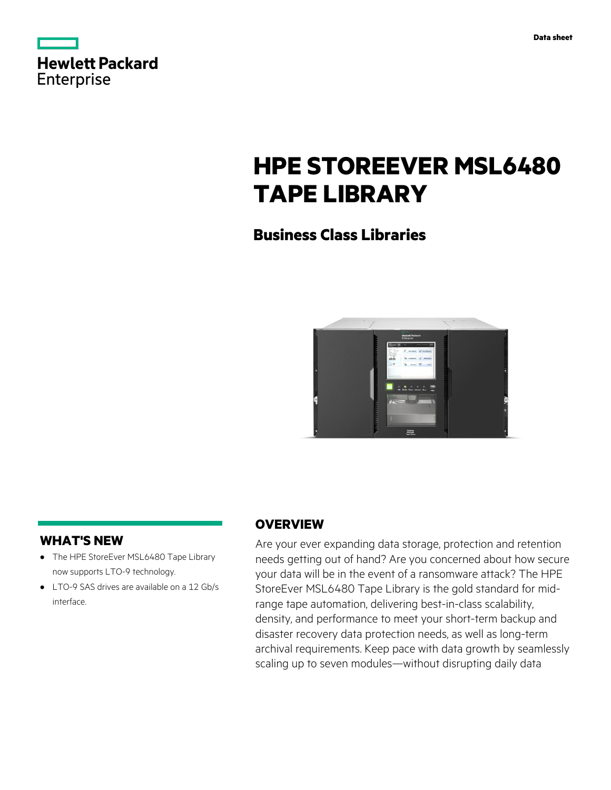| <b>Hewlett Packard</b> |  |  |
|------------------------|--|--|
| <b>Enterprise</b>      |  |  |

# **HPE STOREEVER MSL6480 TAPE LIBRARY**

### **Business Class Libraries**



### **WHAT'S NEW**

- **·** The HPE StoreEver MSL6480 Tape Library now supports LTO-9 technology.
- **·** LTO-9 SAS drives are available on a 12 Gb/s interface.

#### **OVERVIEW**

Are your ever expanding data storage, protection and retention needs getting out of hand? Are you concerned about how secure your data will be in the event of a ransomware attack? The HPE StoreEver MSL6480 Tape Library is the gold standard for midrange tape automation, delivering best-in-class scalability, density, and performance to meet your short-term backup and disaster recovery data protection needs, as well as long-term archival requirements. Keep pace with data growth by seamlessly scaling up to seven modules—without disrupting daily data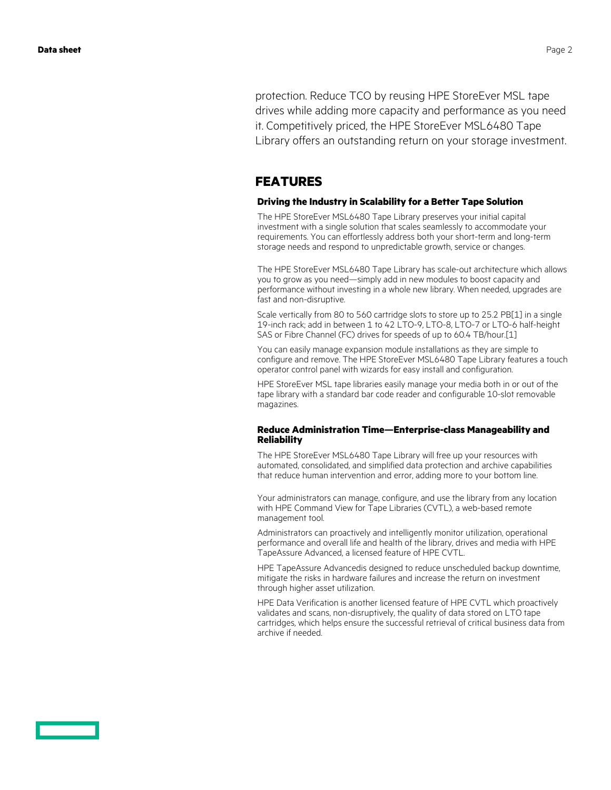protection. Reduce TCO by reusing HPE StoreEver MSL tape drives while adding more capacity and performance as you need it. Competitively priced, the HPE StoreEver MSL6480 Tape Library offers an outstanding return on your storage investment.

#### **FEATURES**

#### **Driving the Industry in Scalability for a Better Tape Solution**

The HPE StoreEver MSL6480 Tape Library preserves your initial capital investment with a single solution that scales seamlessly to accommodate your requirements. You can effortlessly address both your short-term and long-term storage needs and respond to unpredictable growth, service or changes.

The HPE StoreEver MSL6480 Tape Library has scale-out architecture which allows you to grow as you need—simply add in new modules to boost capacity and performance without investing in a whole new library. When needed, upgrades are fast and non-disruptive.

Scale vertically from 80 to 560 cartridge slots to store up to 25.2 PB[1] in a single 19-inch rack; add in between 1 to 42 LTO-9, LTO-8, LTO-7 or LTO-6 half-height SAS or Fibre Channel (FC) drives for speeds of up to 60.4 TB/hour.[1]

You can easily manage expansion module installations as they are simple to configure and remove. The HPE StoreEver MSL6480 Tape Library features a touch operator control panel with wizards for easy install and configuration.

HPE StoreEver MSL tape libraries easily manage your media both in or out of the tape library with a standard bar code reader and configurable 10-slot removable magazines.

#### **Reduce Administration Time—Enterprise-class Manageability and Reliability**

The HPE StoreEver MSL6480 Tape Library will free up your resources with automated, consolidated, and simplified data protection and archive capabilities that reduce human intervention and error, adding more to your bottom line.

Your administrators can manage, configure, and use the library from any location with HPE Command View for Tape Libraries (CVTL), a web-based remote management tool.

Administrators can proactively and intelligently monitor utilization, operational performance and overall life and health of the library, drives and media with HPE TapeAssure Advanced, a licensed feature of HPE CVTL.

HPE TapeAssure Advancedis designed to reduce unscheduled backup downtime, mitigate the risks in hardware failures and increase the return on investment through higher asset utilization.

HPE Data Verification is another licensed feature of HPE CVTL which proactively validates and scans, non-disruptively, the quality of data stored on LTO tape cartridges, which helps ensure the successful retrieval of critical business data from archive if needed.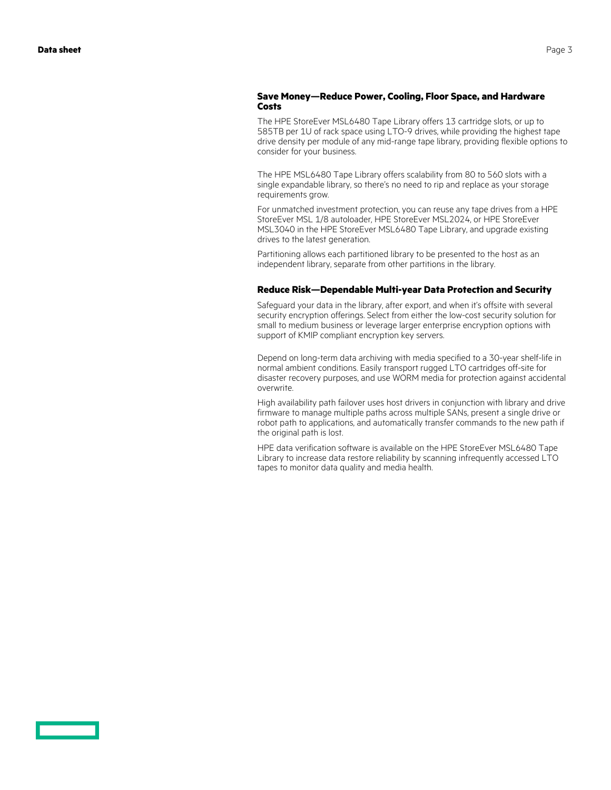#### **Save Money—Reduce Power, Cooling, Floor Space, and Hardware Costs**

The HPE StoreEver MSL6480 Tape Library offers 13 cartridge slots, or up to 585TB per 1U of rack space using LTO-9 drives, while providing the highest tape drive density per module of any mid-range tape library, providing flexible options to consider for your business.

The HPE MSL6480 Tape Library offers scalability from 80 to 560 slots with a single expandable library, so there's no need to rip and replace as your storage requirements grow.

For unmatched investment protection, you can reuse any tape drives from a HPE StoreEver MSL 1/8 autoloader, HPE StoreEver MSL2024, or HPE StoreEver MSL3040 in the HPE StoreEver MSL6480 Tape Library, and upgrade existing drives to the latest generation.

Partitioning allows each partitioned library to be presented to the host as an independent library, separate from other partitions in the library.

#### **Reduce Risk—Dependable Multi-year Data Protection and Security**

Safeguard your data in the library, after export, and when it's offsite with several security encryption offerings. Select from either the low-cost security solution for small to medium business or leverage larger enterprise encryption options with support of KMIP compliant encryption key servers.

Depend on long-term data archiving with media specified to a 30-year shelf-life in normal ambient conditions. Easily transport rugged LTO cartridges off-site for disaster recovery purposes, and use WORM media for protection against accidental overwrite.

High availability path failover uses host drivers in conjunction with library and drive firmware to manage multiple paths across multiple SANs, present a single drive or robot path to applications, and automatically transfer commands to the new path if the original path is lost.

HPE data verification software is available on the HPE StoreEver MSL6480 Tape Library to increase data restore reliability by scanning infrequently accessed LTO tapes to monitor data quality and media health.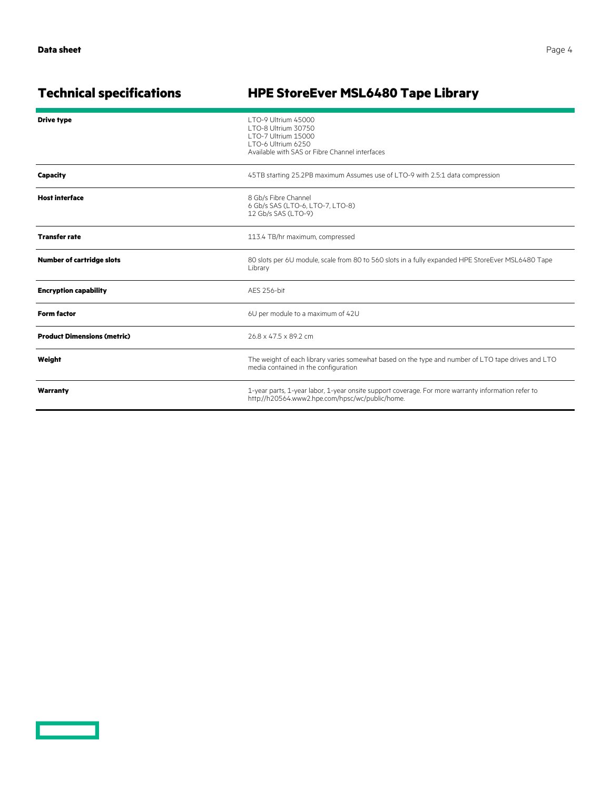<u>a sa san a</u>

## **Technical specifications HPE StoreEver MSL6480 Tape Library**

| <b>Drive type</b>                  | LTO-9 Ultrium 45000<br>LTO-8 Ultrium 30750<br>LTO-7 Ultrium 15000<br>LTO-6 Ultrium 6250<br>Available with SAS or Fibre Channel interfaces             |  |
|------------------------------------|-------------------------------------------------------------------------------------------------------------------------------------------------------|--|
| Capacity                           | 45TB starting 25.2PB maximum Assumes use of LTO-9 with 2.5:1 data compression                                                                         |  |
| <b>Host interface</b>              | 8 Gb/s Fibre Channel<br>6 Gb/s SAS (LTO-6, LTO-7, LTO-8)<br>12 Gb/s SAS (LTO-9)                                                                       |  |
| <b>Transfer rate</b>               | 113.4 TB/hr maximum, compressed                                                                                                                       |  |
| <b>Number of cartridge slots</b>   | 80 slots per 6U module, scale from 80 to 560 slots in a fully expanded HPE StoreEver MSL6480 Tape<br>Library                                          |  |
| <b>Encryption capability</b>       | AES 256-bit                                                                                                                                           |  |
| <b>Form factor</b>                 | 6U per module to a maximum of 42U                                                                                                                     |  |
| <b>Product Dimensions (metric)</b> | 26.8 x 47.5 x 89.2 cm                                                                                                                                 |  |
| Weight                             | The weight of each library varies somewhat based on the type and number of LTO tape drives and LTO<br>media contained in the configuration            |  |
| Warranty                           | 1-year parts, 1-year labor, 1-year onsite support coverage. For more warranty information refer to<br>http://h20564.www2.hpe.com/hpsc/wc/public/home. |  |